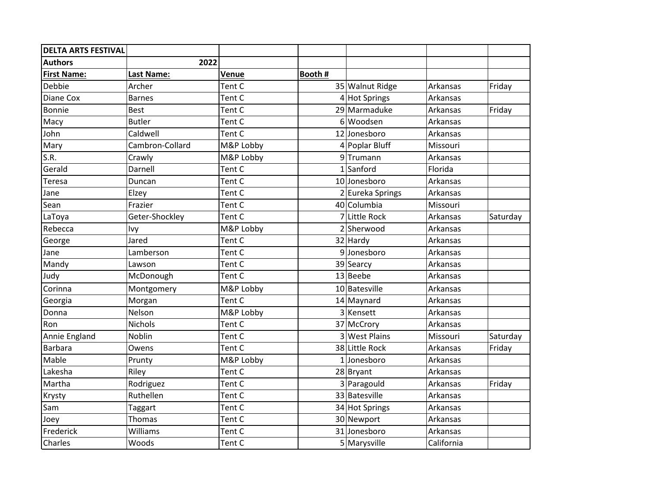| <b>DELTA ARTS FESTIVAL</b> |                   |           |              |                  |            |          |
|----------------------------|-------------------|-----------|--------------|------------------|------------|----------|
| <b>Authors</b>             | 2022              |           |              |                  |            |          |
| <b>First Name:</b>         | <b>Last Name:</b> | Venue     | Booth #      |                  |            |          |
| Debbie                     | Archer            | Tent C    |              | 35 Walnut Ridge  | Arkansas   | Friday   |
| Diane Cox                  | <b>Barnes</b>     | Tent C    |              | 4 Hot Springs    | Arkansas   |          |
| Bonnie                     | <b>Best</b>       | Tent C    |              | 29 Marmaduke     | Arkansas   | Friday   |
| Macy                       | <b>Butler</b>     | Tent C    |              | 6 Woodsen        | Arkansas   |          |
| John                       | Caldwell          | Tent C    |              | 12 Jonesboro     | Arkansas   |          |
| Mary                       | Cambron-Collard   | M&P Lobby |              | 4 Poplar Bluff   | Missouri   |          |
| S.R.                       | Crawly            | M&P Lobby |              | 9Trumann         | Arkansas   |          |
| Gerald                     | Darnell           | Tent C    | $\mathbf{1}$ | Sanford          | Florida    |          |
| Teresa                     | Duncan            | Tent C    |              | 10 Jonesboro     | Arkansas   |          |
| Jane                       | Elzey             | Tent C    |              | 2 Eureka Springs | Arkansas   |          |
| Sean                       | Frazier           | Tent C    |              | 40 Columbia      | Missouri   |          |
| LaToya                     | Geter-Shockley    | Tent C    |              | 7 Little Rock    | Arkansas   | Saturday |
| Rebecca                    | Ivy               | M&P Lobby |              | 2 Sherwood       | Arkansas   |          |
| George                     | Jared             | Tent C    |              | 32 Hardy         | Arkansas   |          |
| Jane                       | Lamberson         | Tent C    |              | 9Jonesboro       | Arkansas   |          |
| Mandy                      | Lawson            | Tent C    |              | 39 Searcy        | Arkansas   |          |
| Judy                       | McDonough         | Tent C    |              | 13 Beebe         | Arkansas   |          |
| Corinna                    | Montgomery        | M&P Lobby |              | 10 Batesville    | Arkansas   |          |
| Georgia                    | Morgan            | Tent C    |              | $14$ Maynard     | Arkansas   |          |
| Donna                      | Nelson            | M&P Lobby |              | 3 Kensett        | Arkansas   |          |
| Ron                        | <b>Nichols</b>    | Tent C    |              | 37 McCrory       | Arkansas   |          |
| Annie England              | Noblin            | Tent C    |              | 3 West Plains    | Missouri   | Saturday |
| <b>Barbara</b>             | Owens             | Tent C    |              | 38 Little Rock   | Arkansas   | Friday   |
| Mable                      | Prunty            | M&P Lobby |              | 1 Jonesboro      | Arkansas   |          |
| Lakesha                    | Riley             | Tent C    |              | $28$ Bryant      | Arkansas   |          |
| Martha                     | Rodriguez         | Tent C    |              | 3 Paragould      | Arkansas   | Friday   |
| Krysty                     | Ruthellen         | Tent C    |              | 33 Batesville    | Arkansas   |          |
| Sam                        | Taggart           | Tent C    |              | 34 Hot Springs   | Arkansas   |          |
| Joey                       | Thomas            | Tent C    |              | 30 Newport       | Arkansas   |          |
| Frederick                  | Williams          | Tent C    |              | 31 Jonesboro     | Arkansas   |          |
| Charles                    | Woods             | Tent C    |              | 5 Marysville     | California |          |